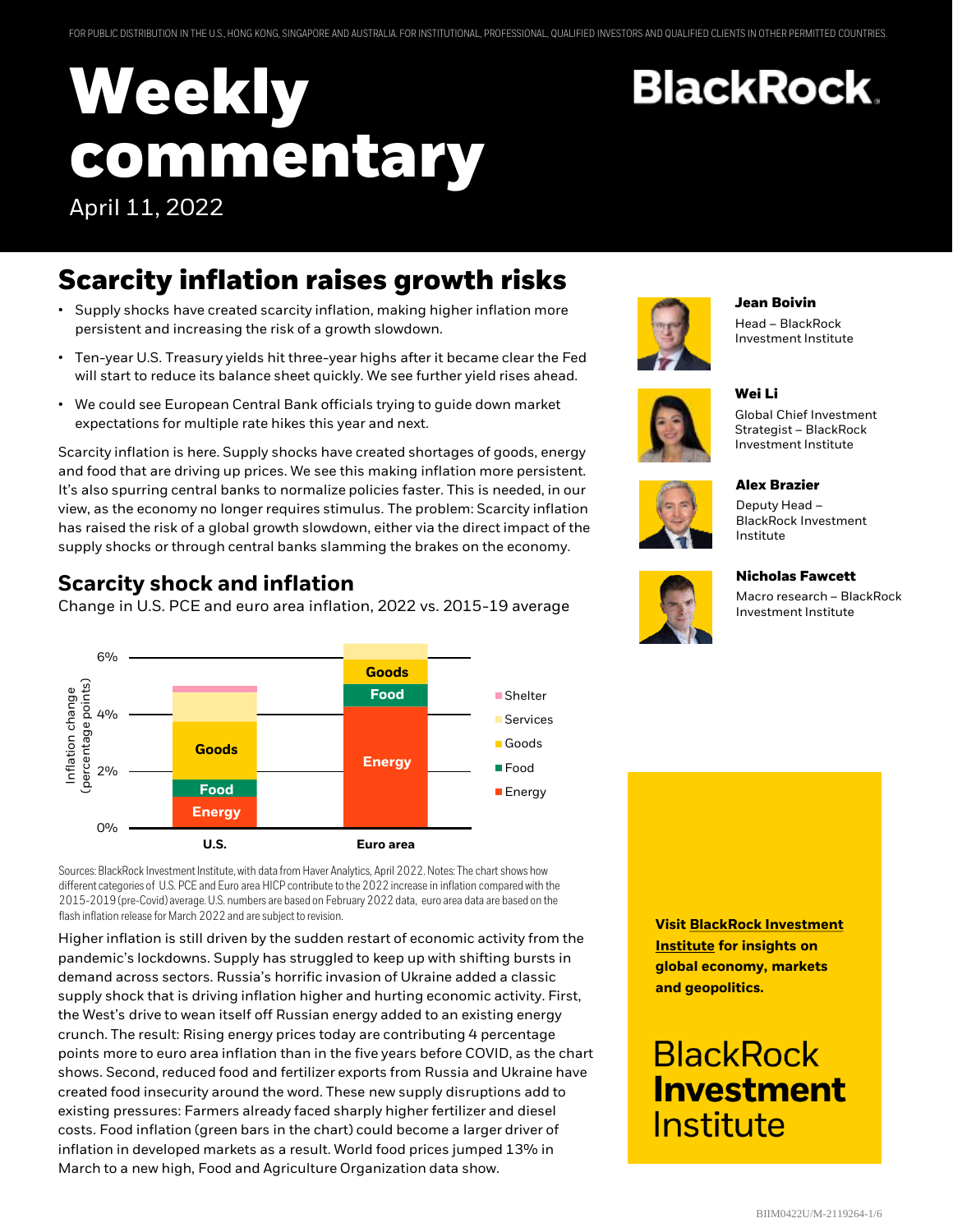# **Weekly commentary** April 11, 2022

### **Scarcity inflation raises growth risks**

- Supply shocks have created scarcity inflation, making higher inflation more persistent and increasing the risk of a growth slowdown.
- Ten-year U.S. Treasury yields hit three-year highs after it became clear the Fed will start to reduce its balance sheet quickly. We see further yield rises ahead.
- We could see European Central Bank officials trying to guide down market expectations for multiple rate hikes this year and next.

Scarcity inflation is here. Supply shocks have created shortages of goods, energy and food that are driving up prices. We see this making inflation more persistent. It's also spurring central banks to normalize policies faster. This is needed, in our view, as the economy no longer requires stimulus. The problem: Scarcity inflation has raised the risk of a global growth slowdown, either via the direct impact of the supply shocks or through central banks slamming the brakes on the economy.

### **Scarcity shock and inflation**

Change in U.S. PCE and euro area inflation, 2022 vs. 2015-19 average



Sources: BlackRock Investment Institute, with data from Haver Analytics, April 2022. Notes: The chart shows how different categories of U.S. PCE and Euro area HICP contribute to the 2022 increase in inflation compared with the 2015-2019 (pre-Covid) average. U.S. numbers are based on February 2022 data, euro area data are based on the flash inflation release for March 2022 and are subject to revision.

Higher inflation is still driven by the sudden restart of economic activity from the pandemic's lockdowns. Supply has struggled to keep up with shifting bursts in demand across sectors. Russia's horrific invasion of Ukraine added a classic supply shock that is driving inflation higher and hurting economic activity. First, the West's drive to wean itself off Russian energy added to an existing energy crunch. The result: Rising energy prices today are contributing 4 percentage points more to euro area inflation than in the five years before COVID, as the chart shows. Second, reduced food and fertilizer exports from Russia and Ukraine have created food insecurity around the word. These new supply disruptions add to existing pressures: Farmers already faced sharply higher fertilizer and diesel costs. Food inflation (green bars in the chart) could become a larger driver of inflation in developed markets as a result. World food prices jumped 13% in March to a new high, Food and Agriculture Organization data show.



**Jean Boivin**

Head – BlackRock Investment Institute







**Alex Brazier** Deputy Head – BlackRock Investment

Institute

**Wei Li**

**BlackRock** 

#### **Nicholas Fawcett**

Macro research – BlackRock Investment Institute

**Visit BlackRock Investment Institute for insights on global economy, markets and geopolitics.**

## **BlackRock Investment** Institute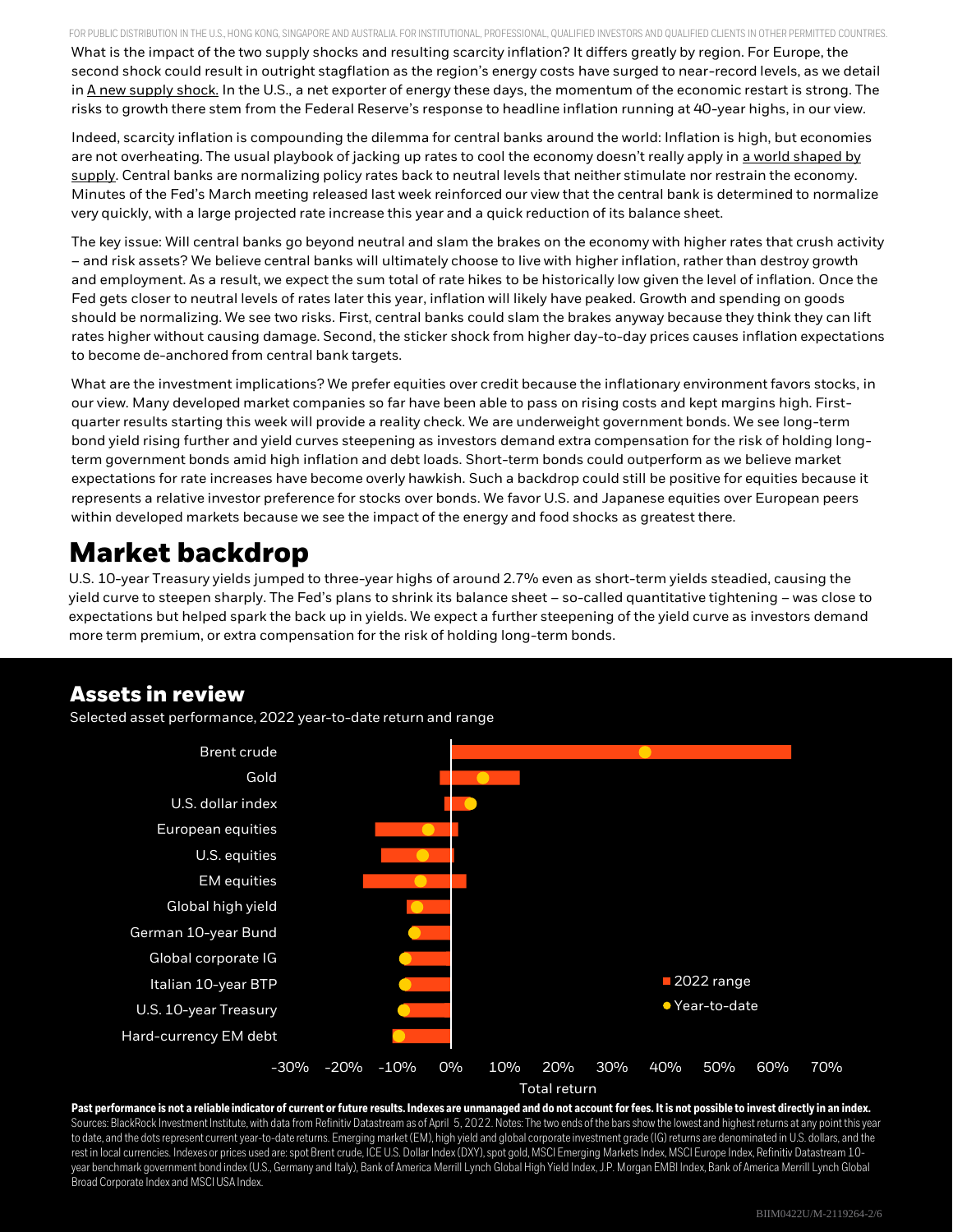FOR PUBLIC DISTRIBUTION IN THE U.S., HONG KONG, SINGAPORE AND AUSTRALIA. FOR INSTITUTIONAL, PROFESSIONAL, QUALIFIED INVESTORS AND QUALIFIED CLIENTS IN OTHER PERMITTED COUNTRIES. What is the impact of the two supply shocks and resulting scarcity inflation? It differs greatly by region. For Europe, the second shock could result in outright stagflation as the region's energy costs have surged to near-record levels, as we detail in A new supply shock. In the U.S., a net exporter of energy these days, the momentum of the economic restart is strong. The risks to growth there stem from the Federal Reserve's response to headline inflation running at 40-year highs, in our view.

Indeed, scarcity inflation is compounding the dilemma for central banks around the world: Inflation is high, but economies are not overheating. The usual playbook of jacking up rates to cool the economy doesn't really apply in a world shaped by supply. Central banks are normalizing policy rates back to neutral levels that neither stimulate nor restrain the economy. Minutes of the Fed's March meeting released last week reinforced our view that the central bank is determined to normalize very quickly, with a large projected rate increase this year and a quick reduction of its balance sheet.

The key issue: Will central banks go beyond neutral and slam the brakes on the economy with higher rates that crush activity – and risk assets? We believe central banks will ultimately choose to live with higher inflation, rather than destroy growth and employment. As a result, we expect the sum total of rate hikes to be historically low given the level of inflation. Once the Fed gets closer to neutral levels of rates later this year, inflation will likely have peaked. Growth and spending on goods should be normalizing. We see two risks. First, central banks could slam the brakes anyway because they think they can lift rates higher without causing damage. Second, the sticker shock from higher day-to-day prices causes inflation expectations to become de-anchored from central bank targets.

What are the investment implications? We prefer equities over credit because the inflationary environment favors stocks, in our view. Many developed market companies so far have been able to pass on rising costs and kept margins high. Firstquarter results starting this week will provide a reality check. We are underweight government bonds. We see long-term bond yield rising further and yield curves steepening as investors demand extra compensation for the risk of holding longterm government bonds amid high inflation and debt loads. Short-term bonds could outperform as we believe market expectations for rate increases have become overly hawkish. Such a backdrop could still be positive for equities because it represents a relative investor preference for stocks over bonds. We favor U.S. and Japanese equities over European peers within developed markets because we see the impact of the energy and food shocks as greatest there.

### **Market backdrop**

U.S. 10-year Treasury yields jumped to three-year highs of around 2.7% even as short-term yields steadied, causing the yield curve to steepen sharply. The Fed's plans to shrink its balance sheet – so-called quantitative tightening – was close to expectations but helped spark the back up in yields. We expect a further steepening of the yield curve as investors demand more term premium, or extra compensation for the risk of holding long-term bonds.

### **Assets in review**

Selected asset performance, 2022 year-to-date return and range



**Past performance is not a reliable indicator of current or future results. Indexes are unmanaged and do not account for fees. It is not possible to invest directly in an index.** Sources: BlackRock Investment Institute, with data from Refinitiv Datastream as of April 5, 2022. Notes: The two ends of the bars show the lowest and highest returns at any point this year to date, and the dots represent current year-to-date returns. Emerging market (EM), high yield and global corporate investment grade (IG) returns are denominated in U.S. dollars, and the rest in local currencies. Indexes or prices used are: spot Brent crude, ICE U.S. Dollar Index (DXY), spot gold, MSCI Emerging Markets Index, MSCI Europe Index, Refinitiv Datastream10 year benchmark government bond index (U.S., Germany and Italy), Bank of America Merrill Lynch Global High Yield Index, J.P. Morgan EMBI Index, Bank of America Merrill Lynch Global Broad Corporate Index and MSCI USA Index.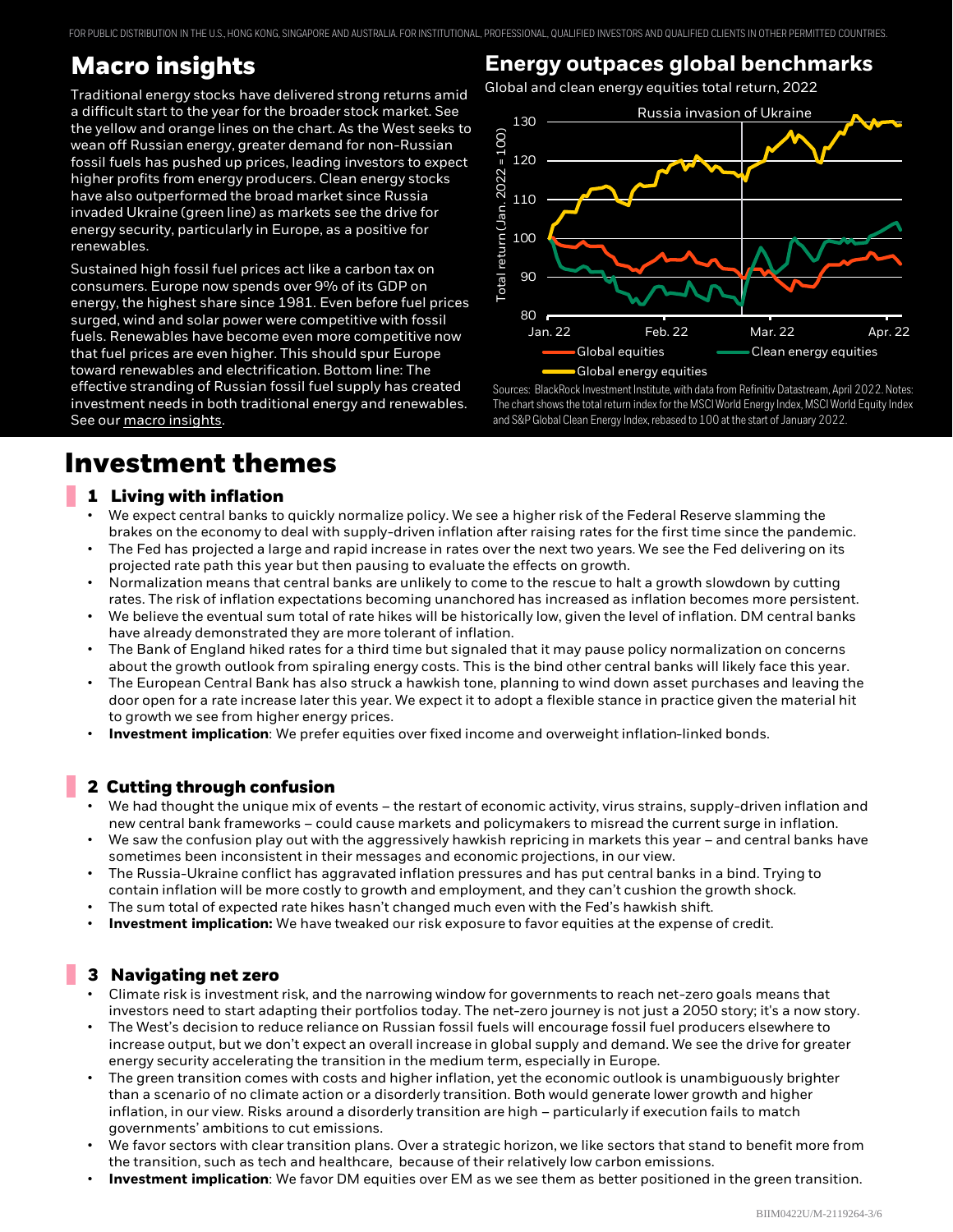FOR PUBLIC DISTRIBUTION IN THE U.S., HONG KONG, SINGAPORE AND AUSTRALIA. FOR INSTITUTIONAL, PROFESSIONAL, QUALIFIED INVESTORS AND QUALIFIED CLIENTS IN OTHER PERMITTED COUNTRIES.

### **Macro insights**

Traditional energy stocks have delivered strong returns amid a difficult start to the year for the broader stock market. See the yellow and orange lines on the chart. As the West seeks to wean off Russian energy, greater demand for non-Russian fossil fuels has pushed up prices, leading investors to expect higher profits from energy producers. Clean energy stocks have also outperformed the broad market since Russia invaded Ukraine (green line) as markets see the drive for energy security, particularly in Europe, as a positive for renewables.

Sustained high fossil fuel prices act like a carbon tax on consumers. Europe now spends over 9% of its GDP on energy, the highest share since 1981. Even before fuel prices surged, wind and solar power were competitive with fossil fuels. Renewables have become even more competitive now that fuel prices are even higher. This should spur Europe toward renewables and electrification. Bottom line: The effective stranding of Russian fossil fuel supply has created investment needs in both traditional energy and renewables. See our macro insights.

### **Energy outpaces global benchmarks**

Global and clean energy equities total return, 2022



Sources: BlackRock Investment Institute, with data from Refinitiv Datastream, April 2022. Notes: The chart shows the total return index for the MSCI World Energy Index, MSCI World Equity Index and S&P Global Clean Energy Index, rebased to 100 at the start of January 2022.

### **Investment themes**

#### **1 Living with inflation**

- We expect central banks to quickly normalize policy. We see a higher risk of the Federal Reserve slamming the brakes on the economy to deal with supply-driven inflation after raising rates for the first time since the pandemic.
- The Fed has projected a large and rapid increase in rates over the next two years. We see the Fed delivering on its projected rate path this year but then pausing to evaluate the effects on growth.
- Normalization means that central banks are unlikely to come to the rescue to halt a growth slowdown by cutting rates. The risk of inflation expectations becoming unanchored has increased as inflation becomes more persistent.
- We believe the eventual sum total of rate hikes will be historically low, given the level of inflation. DM central banks have already demonstrated they are more tolerant of inflation.
- The Bank of England hiked rates for a third time but signaled that it may pause policy normalization on concerns about the growth outlook from spiraling energy costs. This is the bind other central banks will likely face this year.
- The European Central Bank has also struck a hawkish tone, planning to wind down asset purchases and leaving the door open for a rate increase later this year. We expect it to adopt a flexible stance in practice given the material hit to growth we see from higher energy prices.
- **Investment implication**: We prefer equities over fixed income and overweight inflation-linked bonds.

#### **2 Cutting through confusion**

- We had thought the unique mix of events the restart of economic activity, virus strains, supply-driven inflation and new central bank frameworks – could cause markets and policymakers to misread the current surge in inflation.
- We saw the confusion play out with the aggressively hawkish repricing in markets this year and central banks have sometimes been inconsistent in their messages and economic projections, in our view.
- The Russia-Ukraine conflict has aggravated inflation pressures and has put central banks in a bind. Trying to contain inflation will be more costly to growth and employment, and they can't cushion the growth shock.
- The sum total of expected rate hikes hasn't changed much even with the Fed's hawkish shift.
- **Investment implication:** We have tweaked our risk exposure to favor equities at the expense of credit.

#### **3 Navigating net zero**

- Climate risk is investment risk, and the narrowing window for governments to reach net-zero goals means that investors need to start adapting their portfolios today. The net-zero journey is not just a 2050 story; it's a now story.
- The West's decision to reduce reliance on Russian fossil fuels will encourage fossil fuel producers elsewhere to increase output, but we don't expect an overall increase in global supply and demand. We see the drive for greater energy security accelerating the transition in the medium term, especially in Europe.
- The green transition comes with costs and higher inflation, yet the economic outlook is unambiguously brighter than a scenario of no climate action or a disorderly transition. Both would generate lower growth and higher inflation, in our view. Risks around a disorderly transition are high – particularly if execution fails to match governments' ambitions to cut emissions.
- We favor sectors with clear transition plans. Over a strategic horizon, we like sectors that stand to benefit more from the transition, such as tech and healthcare, because of their relatively low carbon emissions.
- **Investment implication**: We favor DM equities over EM as we see them as better positioned in the green transition.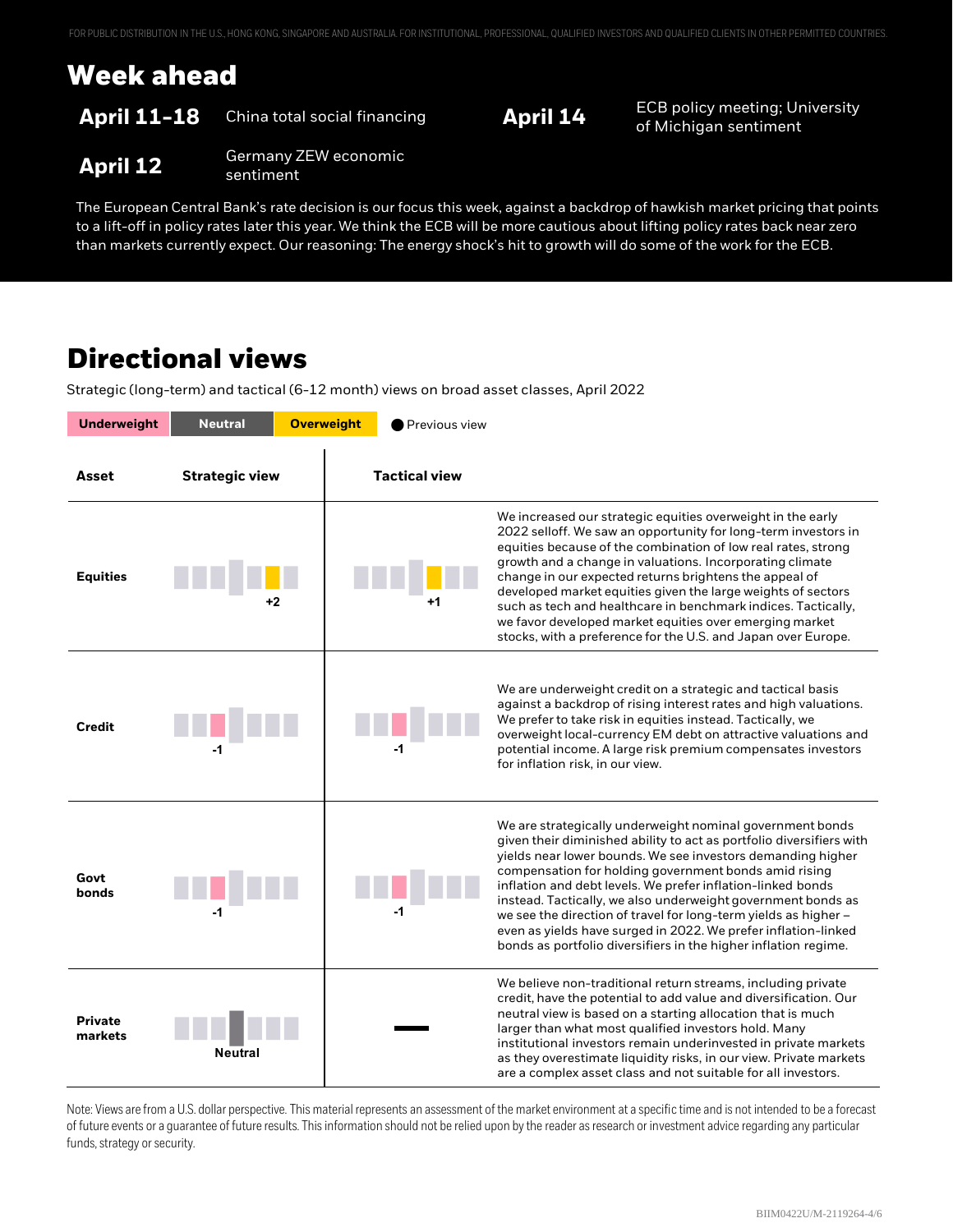### **Week ahead**

### **April 11-18** China total social financing **April 14** ECB policy meeting; University

of Michigan sentiment

#### **April 12** Germany ZEW economic sentiment

The European Central Bank's rate decision is our focus this week, against a backdrop of hawkish market pricing that points to a lift-off in policy rates later this year. We think the ECB will be more cautious about lifting policy rates back near zero than markets currently expect. Our reasoning: The energy shock's hit to growth will do some of the work for the ECB.

### **Directional views**

Strategic (long-term) and tactical (6-12 month) views on broad asset classes, April 2022

| <b>Underweight</b>        | <b>Neutral</b>        | <b>Overweight</b> | Previous view        |                                                                                                                                                                                                                                                                                                                                                                                                                                                                                                                                                                                                  |
|---------------------------|-----------------------|-------------------|----------------------|--------------------------------------------------------------------------------------------------------------------------------------------------------------------------------------------------------------------------------------------------------------------------------------------------------------------------------------------------------------------------------------------------------------------------------------------------------------------------------------------------------------------------------------------------------------------------------------------------|
| Asset                     | <b>Strategic view</b> |                   | <b>Tactical view</b> |                                                                                                                                                                                                                                                                                                                                                                                                                                                                                                                                                                                                  |
| <b>Equities</b>           |                       |                   | +1                   | We increased our strategic equities overweight in the early<br>2022 selloff. We saw an opportunity for long-term investors in<br>equities because of the combination of low real rates, strong<br>growth and a change in valuations. Incorporating climate<br>change in our expected returns brightens the appeal of<br>developed market equities given the large weights of sectors<br>such as tech and healthcare in benchmark indices. Tactically,<br>we favor developed market equities over emerging market<br>stocks, with a preference for the U.S. and Japan over Europe.                |
| Credit                    | $-1$                  |                   |                      | We are underweight credit on a strategic and tactical basis<br>against a backdrop of rising interest rates and high valuations.<br>We prefer to take risk in equities instead. Tactically, we<br>overweight local-currency EM debt on attractive valuations and<br>potential income. A large risk premium compensates investors<br>for inflation risk, in our view.                                                                                                                                                                                                                              |
| Govt<br>bonds             | -1                    |                   | -1                   | We are strategically underweight nominal government bonds<br>given their diminished ability to act as portfolio diversifiers with<br>yields near lower bounds. We see investors demanding higher<br>compensation for holding government bonds amid rising<br>inflation and debt levels. We prefer inflation-linked bonds<br>instead. Tactically, we also underweight government bonds as<br>we see the direction of travel for long-term yields as higher -<br>even as yields have surged in 2022. We prefer inflation-linked<br>bonds as portfolio diversifiers in the higher inflation regime. |
| <b>Private</b><br>markets | Neutral               |                   |                      | We believe non-traditional return streams, including private<br>credit, have the potential to add value and diversification. Our<br>neutral view is based on a starting allocation that is much<br>larger than what most qualified investors hold. Many<br>institutional investors remain underinvested in private markets<br>as they overestimate liquidity risks, in our view. Private markets<br>are a complex asset class and not suitable for all investors.                                                                                                                                |

Note: Views are from a U.S. dollar perspective. This material represents an assessment of the market environment at a specific time and is not intended to be a forecast of future events or a guarantee of future results. This information should not be relied upon by the reader as research or investment advice regarding any particular funds, strategy or security.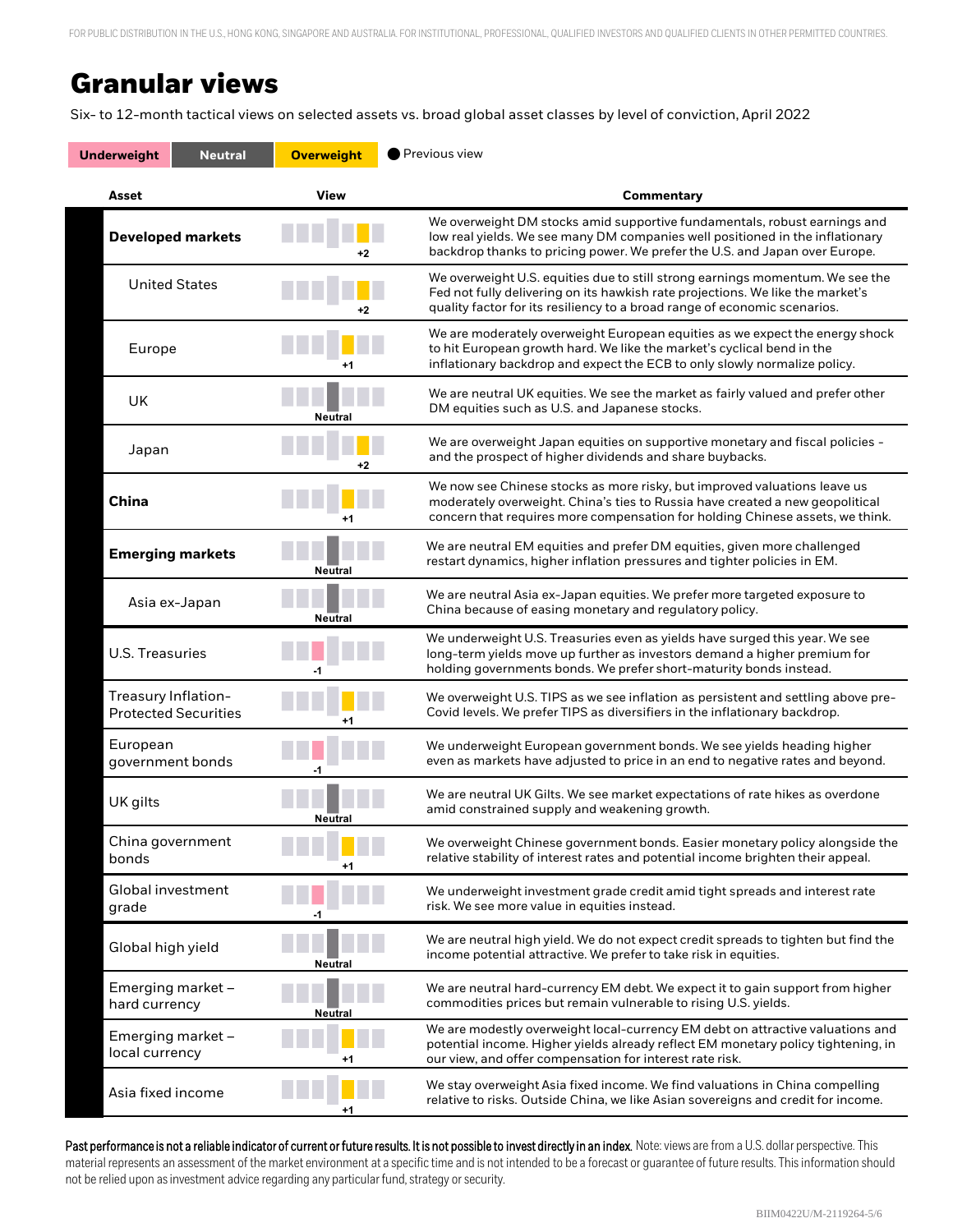### **Granular views**

Six- to 12-month tactical views on selected assets vs. broad global asset classes by level of conviction, April 2022

| <b>Underweight</b><br><b>Neutral</b>               | <b>Overweight</b> | Previous view                                                                                                                                                                                                                                |  |
|----------------------------------------------------|-------------------|----------------------------------------------------------------------------------------------------------------------------------------------------------------------------------------------------------------------------------------------|--|
| Asset                                              | <b>View</b>       | Commentary                                                                                                                                                                                                                                   |  |
| <b>Developed markets</b>                           |                   | We overweight DM stocks amid supportive fundamentals, robust earnings and<br>low real yields. We see many DM companies well positioned in the inflationary<br>backdrop thanks to pricing power. We prefer the U.S. and Japan over Europe.    |  |
| <b>United States</b>                               | +2                | We overweight U.S. equities due to still strong earnings momentum. We see the<br>Fed not fully delivering on its hawkish rate projections. We like the market's<br>quality factor for its resiliency to a broad range of economic scenarios. |  |
| Europe                                             | $+1$              | We are moderately overweight European equities as we expect the energy shock<br>to hit European growth hard. We like the market's cyclical bend in the<br>inflationary backdrop and expect the ECB to only slowly normalize policy.          |  |
| UK                                                 | Neutral           | We are neutral UK equities. We see the market as fairly valued and prefer other<br>DM equities such as U.S. and Japanese stocks.                                                                                                             |  |
| Japan                                              | +2                | We are overweight Japan equities on supportive monetary and fiscal policies -<br>and the prospect of higher dividends and share buybacks.                                                                                                    |  |
| <b>China</b>                                       | +1                | We now see Chinese stocks as more risky, but improved valuations leave us<br>moderately overweight. China's ties to Russia have created a new geopolitical<br>concern that requires more compensation for holding Chinese assets, we think.  |  |
| <b>Emerging markets</b>                            | <b>Neutral</b>    | We are neutral EM equities and prefer DM equities, given more challenged<br>restart dynamics, higher inflation pressures and tighter policies in EM.                                                                                         |  |
| Asia ex-Japan                                      | <b>Neutral</b>    | We are neutral Asia ex-Japan equities. We prefer more targeted exposure to<br>China because of easing monetary and regulatory policy.                                                                                                        |  |
| <b>U.S. Treasuries</b>                             | -1                | We underweight U.S. Treasuries even as yields have surged this year. We see<br>long-term yields move up further as investors demand a higher premium for<br>holding governments bonds. We prefer short-maturity bonds instead.               |  |
| Treasury Inflation-<br><b>Protected Securities</b> |                   | We overweight U.S. TIPS as we see inflation as persistent and settling above pre-<br>Covid levels. We prefer TIPS as diversifiers in the inflationary backdrop.                                                                              |  |
| European<br>government bonds                       |                   | We underweight European government bonds. We see yields heading higher<br>even as markets have adjusted to price in an end to negative rates and beyond.                                                                                     |  |
| UK gilts                                           | Neutral           | We are neutral UK Gilts. We see market expectations of rate hikes as overdone<br>amid constrained supply and weakening growth.                                                                                                               |  |
| China government<br>bonds                          | +1                | We overweight Chinese government bonds. Easier monetary policy alongside the<br>relative stability of interest rates and potential income brighten their appeal.                                                                             |  |
| Global investment<br>grade                         | -1                | We underweight investment grade credit amid tight spreads and interest rate<br>risk. We see more value in equities instead.                                                                                                                  |  |
| Global high yield                                  | <b>Neutral</b>    | We are neutral high yield. We do not expect credit spreads to tighten but find the<br>income potential attractive. We prefer to take risk in equities.                                                                                       |  |
| Emerging market -<br>hard currency                 | Neutral           | We are neutral hard-currency EM debt. We expect it to gain support from higher<br>commodities prices but remain vulnerable to rising U.S. yields.                                                                                            |  |
| Emerging market -<br>local currency                | +1                | We are modestly overweight local-currency EM debt on attractive valuations and<br>potential income. Higher yields already reflect EM monetary policy tightening, in<br>our view, and offer compensation for interest rate risk.              |  |
| Asia fixed income                                  | +1                | We stay overweight Asia fixed income. We find valuations in China compelling<br>relative to risks. Outside China, we like Asian sovereigns and credit for income.                                                                            |  |

not be relied upon as investment advice regarding any particular fund, strategy or security. Past performance is not a reliable indicator of current or future results. It is not possible to invest directly in an index. Note: views are from a U.S. dollar perspective. This material represents an assessment of the market environment at a specific time and is not intended to be a forecast or guarantee of future results. This information should